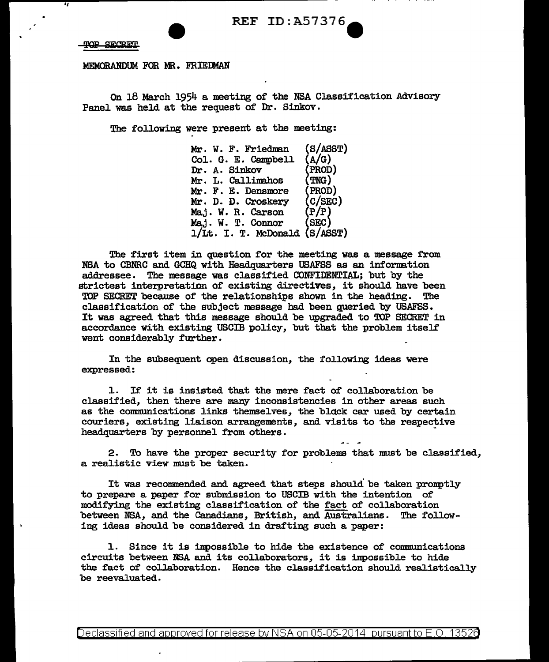SECRET **COTT** 

.,

MEMORANDUM FOR MR. FRIEDMAN

On 18 March 1954 a meeting of the NSA Classification Advisory Panel was held at the request of Dr. Sinkov.

The following were present at the meeting:

| Mr. W. F. Friedman            | (S/ASST)         |
|-------------------------------|------------------|
| Col. G. E. Campbell           | (A/G)            |
| Dr. A. Sinkov                 | (PROD)           |
| Mr. L. Callimahos             | (TNC)            |
| Mr. F. E. Densmore            | (PROD)           |
| Mr. D. D. Croskery            | $(c/\text{SEC})$ |
| Maj. W. R. Carson             | (P/P)            |
| Maj. W. T. Connor             | (SEC)            |
| 1/Lt. I. T. McDonald (S/ASST) |                  |

The first item in question for the meeting was a message from NBA to CBNRC and GCHQ with Headquarters USAFSS as an information addressee. The message was classified CONFIDENTIAL; but by the strictest interpretation of existing directives, it should have been<br>TOP SECRET because of the relationships shown in the beading. The TOP SECRET because of the relationships shown in the heading. classification of the subject message had been gueried by USAFSS. It was agreed that this message should be upgraded to TOP SECRET in accordance with existing USCIB policy, but that the problem itself went considerably further.

In the subsequent open discussion, the following ideas were expressed:

1. If it is insisted that the mere fact of collaboration be classified, then there are many inconsistencies in other areas such as the communications links themselves, the block car used by certain couriers, existing liaison arrangements, and visits to the respective headquarters by personnel from others.

2. To have the proper security for problems that must be classified, a realistic view must be taken.

It was recommended and agreed that steps should be taken promptly to prepare a paper for submission to USCIB with the intention of modifying the existing classification of the fact of collaboration between NSA, and the Canadians, British, and Australians. The following ideas should be considered in drafting such a paper:

1. Since it is impossible to hide the existence of communications circuits between NSA and its collaborators, it is impossible to hide the fact of collaboration. Hence the classification should realistically be reevaluated.

Declassified and approved for release by NSA on 05-05-2014 pursuant to E.O. 13526